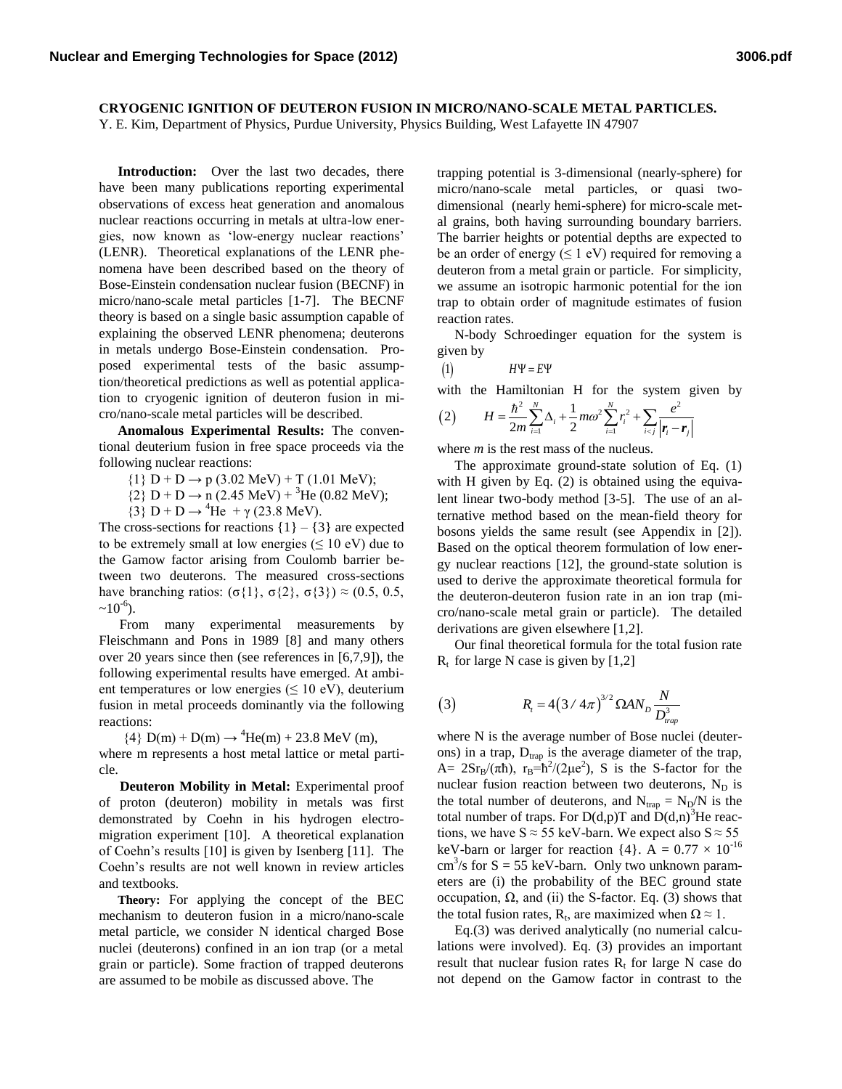## **CRYOGENIC IGNITION OF DEUTERON FUSION IN MICRO/NANO-SCALE METAL PARTICLES.**

Y. E. Kim, Department of Physics, Purdue University, Physics Building, West Lafayette IN 47907

 **Introduction:** Over the last two decades, there have been many publications reporting experimental observations of excess heat generation and anomalous nuclear reactions occurring in metals at ultra-low energies, now known as "low-energy nuclear reactions" (LENR). Theoretical explanations of the LENR phenomena have been described based on the theory of Bose-Einstein condensation nuclear fusion (BECNF) in micro/nano-scale metal particles [1-7]. The BECNF theory is based on a single basic assumption capable of explaining the observed LENR phenomena; deuterons in metals undergo Bose-Einstein condensation. Proposed experimental tests of the basic assumption/theoretical predictions as well as potential application to cryogenic ignition of deuteron fusion in micro/nano-scale metal particles will be described.

 **Anomalous Experimental Results:** The conventional deuterium fusion in free space proceeds via the following nuclear reactions:

 $\{1\}$  D + D  $\rightarrow$  p (3.02 MeV) + T (1.01 MeV);

 ${2}$  D + D  $\rightarrow$  n (2.45 MeV) + <sup>3</sup>He (0.82 MeV);

 ${3}$  D + D  $\rightarrow$  <sup>4</sup>He + γ (23.8 MeV).

The cross-sections for reactions  $\{1\} - \{3\}$  are expected to be extremely small at low energies ( $\leq 10$  eV) due to the Gamow factor arising from Coulomb barrier between two deuterons. The measured cross-sections have branching ratios: (σ{1}, σ{2}, σ{3})  $\approx$  (0.5, 0.5,  $~10^{-6}$ ).

 From many experimental measurements by Fleischmann and Pons in 1989 [8] and many others over 20 years since then (see references in [6,7,9]), the following experimental results have emerged. At ambient temperatures or low energies ( $\leq 10$  eV), deuterium fusion in metal proceeds dominantly via the following reactions:

 ${4}$  D(m) + D(m)  $\rightarrow$  <sup>4</sup>He(m) + 23.8 MeV (m),

where m represents a host metal lattice or metal particle.

 **Deuteron Mobility in Metal:** Experimental proof of proton (deuteron) mobility in metals was first demonstrated by Coehn in his hydrogen electromigration experiment [10]. A theoretical explanation of Coehn"s results [10] is given by Isenberg [11]. The Coehn"s results are not well known in review articles and textbooks.

 **Theory:** For applying the concept of the BEC mechanism to deuteron fusion in a micro/nano-scale metal particle, we consider N identical charged Bose nuclei (deuterons) confined in an ion trap (or a metal grain or particle). Some fraction of trapped deuterons are assumed to be mobile as discussed above. The

trapping potential is 3-dimensional (nearly-sphere) for micro/nano-scale metal particles, or quasi twodimensional (nearly hemi-sphere) for micro-scale metal grains, both having surrounding boundary barriers. The barrier heights or potential depths are expected to be an order of energy  $(\leq 1 \text{ eV})$  required for removing a deuteron from a metal grain or particle. For simplicity, we assume an isotropic harmonic potential for the ion trap to obtain order of magnitude estimates of fusion reaction rates.

 N-body Schroedinger equation for the system is given by

 $H\Psi = E\Psi$ 

with the Hamiltonian H for the system given by  
\n(2) 
$$
H = \frac{\hbar^2}{2m} \sum_{i=1}^{N} \Delta_i + \frac{1}{2} m \omega^2 \sum_{i=1}^{N} r_i^2 + \sum_{i < j} \frac{e^2}{|\mathbf{r}_i - \mathbf{r}_j|}
$$

where *m* is the rest mass of the nucleus.

 The approximate ground-state solution of Eq. (1) with H given by Eq. (2) is obtained using the equivalent linear two-body method [3-5]. The use of an alternative method based on the mean-field theory for bosons yields the same result (see Appendix in [2]). Based on the optical theorem formulation of low energy nuclear reactions [12], the ground-state solution is used to derive the approximate theoretical formula for the deuteron-deuteron fusion rate in an ion trap (micro/nano-scale metal grain or particle). The detailed derivations are given elsewhere [1,2].

 Our final theoretical formula for the total fusion rate  $R<sub>t</sub>$  for large N case is given by [1,2]

(3) 
$$
R_t = 4(3/4\pi)^{3/2} \Omega A N_D \frac{N}{D_{trap}^3}
$$

where N is the average number of Bose nuclei (deuterons) in a trap,  $D_{trap}$  is the average diameter of the trap, A=  $2Sr_B/(\pi\hbar)$ ,  $r_B=\hbar^2/(2\mu e^2)$ , S is the S-factor for the nuclear fusion reaction between two deuterons,  $N_D$  is the total number of deuterons, and  $N_{trap} = N_D/N$  is the total number of traps. For  $D(d,p)T$  and  $D(d,n)^3$ He reactions, we have  $S \approx 55$  keV-barn. We expect also  $S \approx 55$ keV-barn or larger for reaction  $\{4\}$ . A = 0.77  $\times$  10<sup>-16</sup>  $\text{cm}^3\text{/s}$  for S = 55 keV-barn. Only two unknown parameters are (i) the probability of the BEC ground state occupation,  $Ω$ , and (ii) the S-factor. Eq. (3) shows that the total fusion rates,  $R_t$ , are maximized when  $\Omega \approx 1$ .

 Eq.(3) was derived analytically (no numerial calculations were involved). Eq. (3) provides an important result that nuclear fusion rates  $R_t$  for large N case do not depend on the Gamow factor in contrast to the